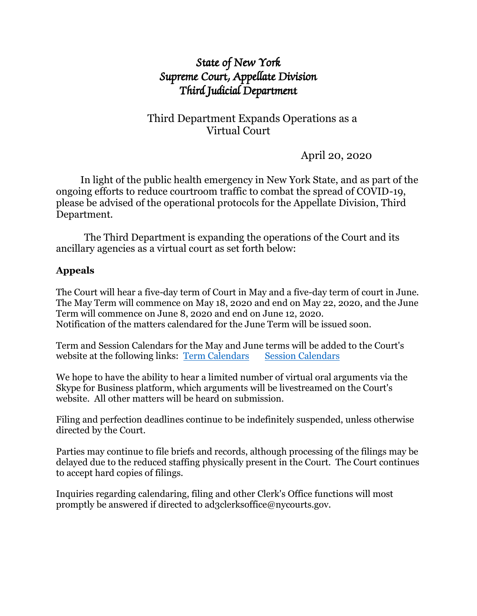# *State of New York Supreme Court, Appellate Division Third Judicial Department*

## Third Department Expands Operations as a Virtual Court

April 20, 2020

 In light of the public health emergency in New York State, and as part of the ongoing efforts to reduce courtroom traffic to combat the spread of COVID-19, please be advised of the operational protocols for the Appellate Division, Third Department.

The Third Department is expanding the operations of the Court and its ancillary agencies as a virtual court as set forth below:

#### **Appeals**

The Court will hear a five-day term of Court in May and a five-day term of court in June. The May Term will commence on May 18, 2020 and end on May 22, 2020, and the June Term will commence on June 8, 2020 and end on June 12, 2020. Notification of the matters calendared for the June Term will be issued soon.

Term and Session Calendars for the May and June terms will be added to the Court's website at the following links: [Term Calendars](http://www.nycourts.gov/ad3/TermCalendars.html) [Session Calendars](http://www.nycourts.gov/ad3/SessionCalendar.html)

We hope to have the ability to hear a limited number of virtual oral arguments via the Skype for Business platform, which arguments will be livestreamed on the Court's website. All other matters will be heard on submission.

Filing and perfection deadlines continue to be indefinitely suspended, unless otherwise directed by the Court.

Parties may continue to file briefs and records, although processing of the filings may be delayed due to the reduced staffing physically present in the Court. The Court continues to accept hard copies of filings.

Inquiries regarding calendaring, filing and other Clerk's Office functions will most promptly be answered if directed to ad3clerksoffice@nycourts.gov.